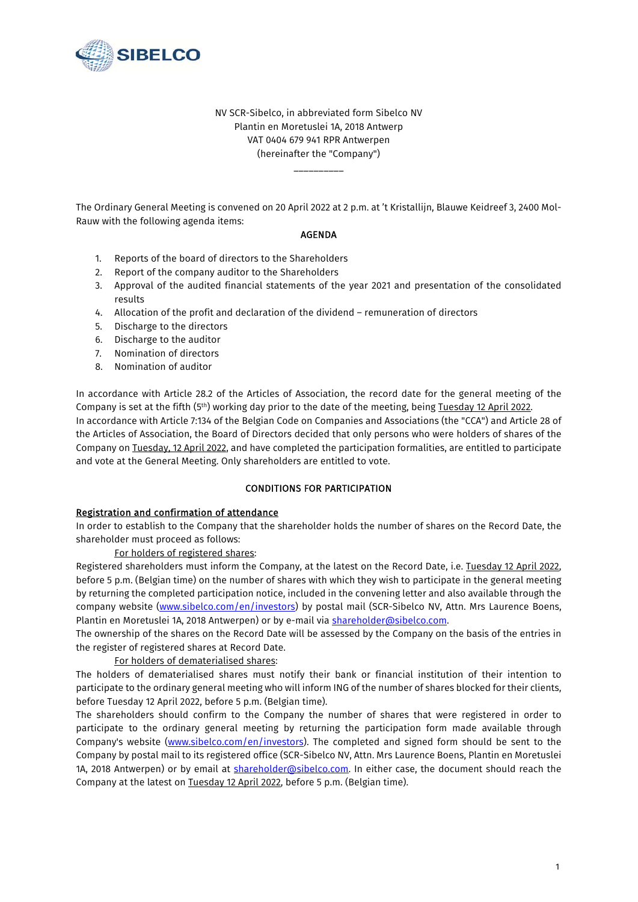

NV SCR-Sibelco, in abbreviated form Sibelco NV Plantin en Moretuslei 1A, 2018 Antwerp VAT 0404 679 941 RPR Antwerpen (hereinafter the "Company")

\_\_\_\_\_\_\_\_\_\_

The Ordinary General Meeting is convened on 20 April 2022 at 2 p.m. at 't Kristallijn, Blauwe Keidreef 3, 2400 Mol-Rauw with the following agenda items:

### AGENDA

- 1. Reports of the board of directors to the Shareholders
- 2. Report of the company auditor to the Shareholders
- 3. Approval of the audited financial statements of the year 2021 and presentation of the consolidated results
- 4. Allocation of the profit and declaration of the dividend remuneration of directors
- 5. Discharge to the directors
- 6. Discharge to the auditor
- 7. Nomination of directors
- 8. Nomination of auditor

In accordance with Article 28.2 of the Articles of Association, the record date for the general meeting of the Company is set at the fifth (5<sup>th</sup>) working day prior to the date of the meeting, being Tuesday 12 April 2022. In accordance with Article 7:134 of the Belgian Code on Companies and Associations (the "CCA") and Article 28 of the Articles of Association, the Board of Directors decided that only persons who were holders of shares of the Company on Tuesday, 12 April 2022, and have completed the participation formalities, are entitled to participate and vote at the General Meeting. Only shareholders are entitled to vote.

#### CONDITIONS FOR PARTICIPATION

### Registration and confirmation of attendance

In order to establish to the Company that the shareholder holds the number of shares on the Record Date, the shareholder must proceed as follows:

#### For holders of registered shares:

Registered shareholders must inform the Company, at the latest on the Record Date, i.e. Tuesday 12 April 2022, before 5 p.m. (Belgian time) on the number of shares with which they wish to participate in the general meeting by returning the completed participation notice, included in the convening letter and also available through the company website (www.sibelco.com/en/investors) by postal mail (SCR-Sibelco NV, Attn. Mrs Laurence Boens, Plantin en Moretuslei 1A, 2018 Antwerpen) or by e-mail via shareholder@sibelco.com.

The ownership of the shares on the Record Date will be assessed by the Company on the basis of the entries in the register of registered shares at Record Date.

#### For holders of dematerialised shares:

The holders of dematerialised shares must notify their bank or financial institution of their intention to participate to the ordinary general meeting who will inform ING of the number of shares blocked for their clients, before Tuesday 12 April 2022, before 5 p.m. (Belgian time).

The shareholders should confirm to the Company the number of shares that were registered in order to participate to the ordinary general meeting by returning the participation form made available through Company's website (www.sibelco.com/en/investors). The completed and signed form should be sent to the Company by postal mail to its registered office (SCR-Sibelco NV, Attn. Mrs Laurence Boens, Plantin en Moretuslei 1A, 2018 Antwerpen) or by email at shareholder@sibelco.com. In either case, the document should reach the Company at the latest on Tuesday 12 April 2022, before 5 p.m. (Belgian time).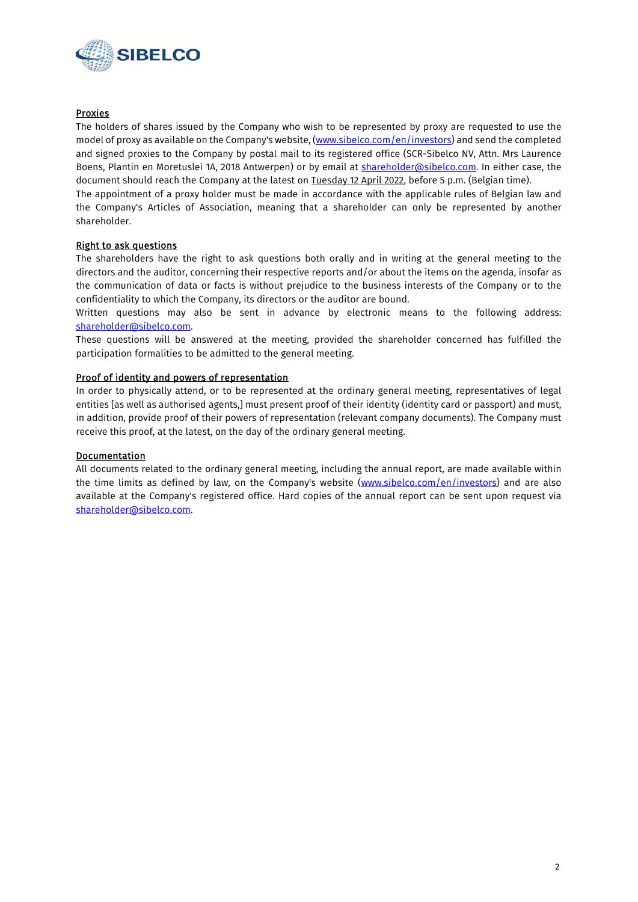

## Proxies

The holders of shares issued by the Company who wish to be represented by proxy are requested to use the model of proxy as available on the Company's website, (www.sibelco.com/en/investors) and send the completed and signed proxies to the Company by postal mail to its registered office (SCR-Sibelco NV, Attn. Mrs Laurence Boens, Plantin en Moretuslei 1A, 2018 Antwerpen) or by email at shareholder@sibelco.com. In either case, the document should reach the Company at the latest on **Tuesday 12 April 2022**, before 5 p.m. (Belgian time).

The appointment of a proxy holder must be made in accordance with the applicable rules of Belgian law and the Company's Articles of Association, meaning that a shareholder can only be represented by another shareholder.

### Right to ask questions

The shareholders have the right to ask questions both orally and in writing at the general meeting to the directors and the auditor, concerning their respective reports and/or about the items on the agenda, insofar as the communication of data or facts is without prejudice to the business interests of the Company or to the confidentiality to which the Company, its directors or the auditor are bound.

Written questions may also be sent in advance by electronic means to the following address: shareholder@sibelco.com.

These questions will be answered at the meeting, provided the shareholder concerned has fulfilled the participation formalities to be admitted to the general meeting.

### Proof of identity and powers of representation

In order to physically attend, or to be represented at the ordinary general meeting, representatives of legal entities [as well as authorised agents,] must present proof of their identity (identity card or passport) and must, in addition, provide proof of their powers of representation (relevant company documents). The Company must receive this proof, at the latest, on the day of the ordinary general meeting.

### **Documentation**

All documents related to the ordinary general meeting, including the annual report, are made available within the time limits as defined by law, on the Company's website (www.sibelco.com/en/investors) and are also available at the Company's registered office. Hard copies of the annual report can be sent upon request via shareholder@sibelco.com.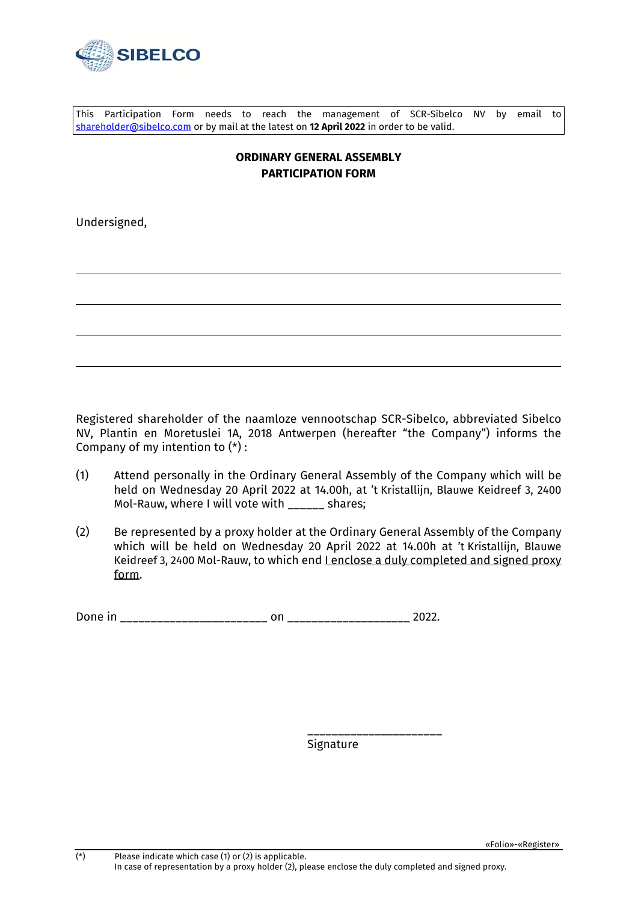

This Participation Form needs to reach the management of SCR-Sibelco NV by email to shareholder@sibelco.com or by mail at the latest on **12 April 2022** in order to be valid.

# **ORDINARY GENERAL ASSEMBLY PARTICIPATION FORM**

Undersigned,

Registered shareholder of the naamloze vennootschap SCR-Sibelco, abbreviated Sibelco NV, Plantin en Moretuslei 1A, 2018 Antwerpen (hereafter "the Company") informs the Company of my intention to  $(*)$ :

- (1) Attend personally in the Ordinary General Assembly of the Company which will be held on Wednesday 20 April 2022 at 14.00h, at 't Kristallijn, Blauwe Keidreef 3, 2400 Mol-Rauw, where I will vote with states;
- (2) Be represented by a proxy holder at the Ordinary General Assembly of the Company which will be held on Wednesday 20 April 2022 at 14.00h at 't Kristallijn, Blauwe Keidreef 3, 2400 Mol-Rauw, to which end I enclose a duly completed and signed proxy form.

Done in \_\_\_\_\_\_\_\_\_\_\_\_\_\_\_\_\_\_\_\_\_\_\_\_ on \_\_\_\_\_\_\_\_\_\_\_\_\_\_\_\_\_\_\_\_ 2022.

 \_\_\_\_\_\_\_\_\_\_\_\_\_\_\_\_\_\_\_\_\_\_ Signature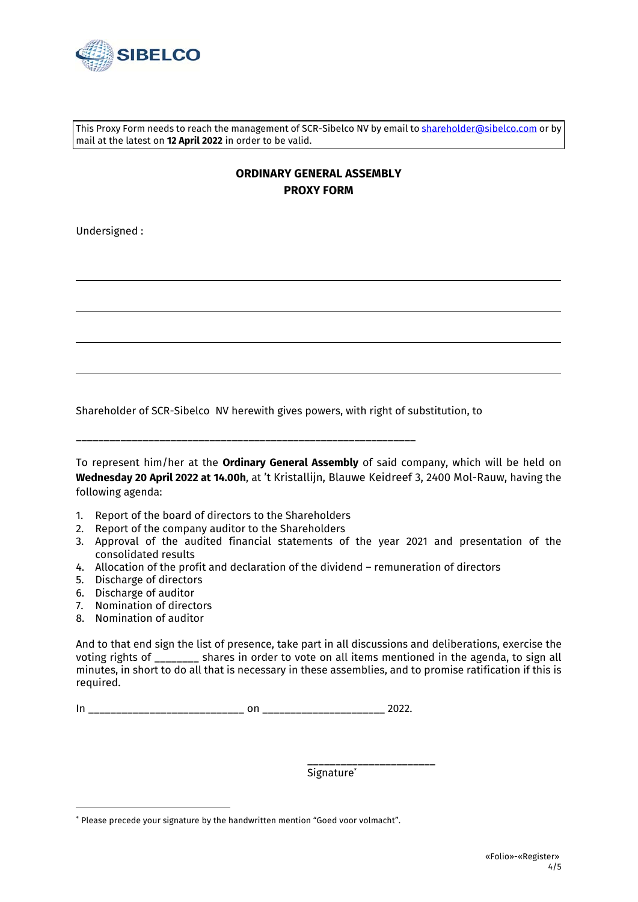

This Proxy Form needs to reach the management of SCR-Sibelco NV by email to **shareholder@sibelco.com** or by mail at the latest on **12 April 2022** in order to be valid.

# **ORDINARY GENERAL ASSEMBLY PROXY FORM**

Undersigned :

Shareholder of SCR-Sibelco NV herewith gives powers, with right of substitution, to

\_\_\_\_\_\_\_\_\_\_\_\_\_\_\_\_\_\_\_\_\_\_\_\_\_\_\_\_\_\_\_\_\_\_\_\_\_\_\_\_\_\_\_\_\_\_\_\_\_\_\_\_\_\_\_\_\_\_\_\_\_

To represent him/her at the **Ordinary General Assembly** of said company, which will be held on **Wednesday 20 April 2022 at 14.00h**, at 't Kristallijn, Blauwe Keidreef 3, 2400 Mol-Rauw, having the following agenda:

- 1. Report of the board of directors to the Shareholders
- 2. Report of the company auditor to the Shareholders
- 3. Approval of the audited financial statements of the year 2021 and presentation of the consolidated results
- 4. Allocation of the profit and declaration of the dividend remuneration of directors
- 5. Discharge of directors
- 6. Discharge of auditor
- 7. Nomination of directors
- 8. Nomination of auditor

And to that end sign the list of presence, take part in all discussions and deliberations, exercise the voting rights of \_\_\_\_\_\_\_\_ shares in order to vote on all items mentioned in the agenda, to sign all minutes, in short to do all that is necessary in these assemblies, and to promise ratification if this is required.

In \_\_\_\_\_\_\_\_\_\_\_\_\_\_\_\_\_\_\_\_\_\_\_\_\_\_\_\_ on \_\_\_\_\_\_\_\_\_\_\_\_\_\_\_\_\_\_\_\_\_\_ 2022.

 \_\_\_\_\_\_\_\_\_\_\_\_\_\_\_\_\_\_\_\_\_\_\_ Signature\*

<sup>\*</sup> Please precede your signature by the handwritten mention "Goed voor volmacht".